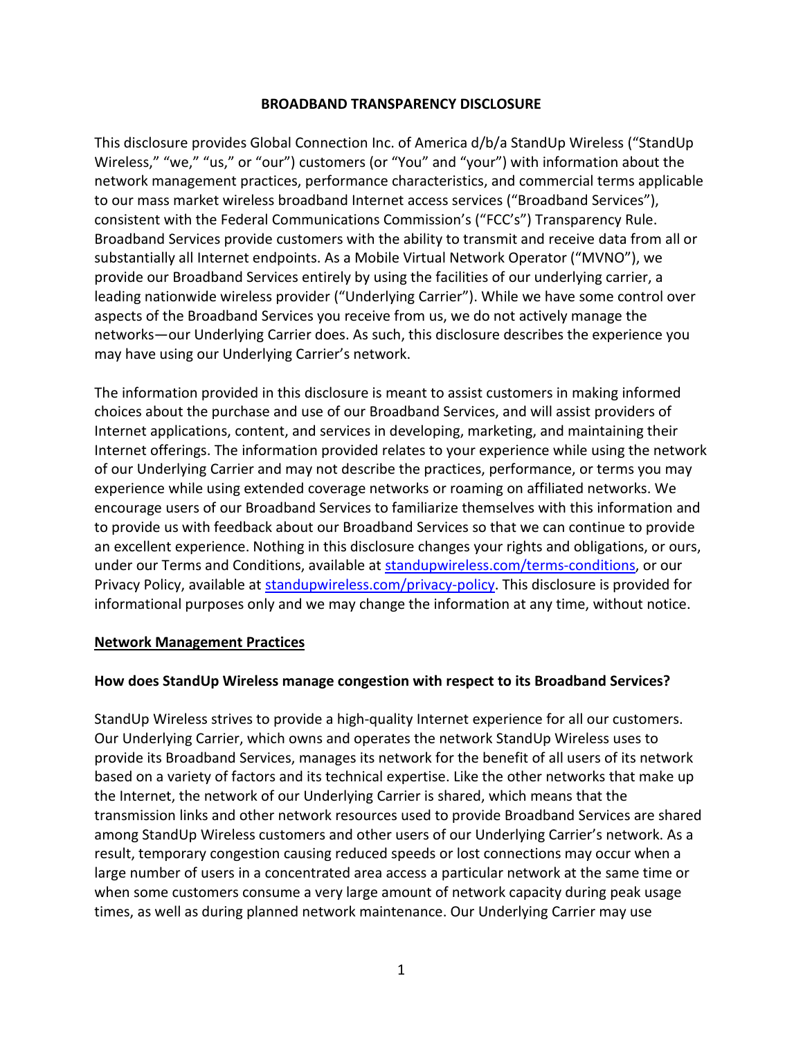#### **BROADBAND TRANSPARENCY DISCLOSURE**

This disclosure provides Global Connection Inc. of America d/b/a StandUp Wireless ("StandUp Wireless," "we," "us," or "our") customers (or "You" and "your") with information about the network management practices, performance characteristics, and commercial terms applicable to our mass market wireless broadband Internet access services ("Broadband Services"), consistent with the Federal Communications Commission's ("FCC's") Transparency Rule. Broadband Services provide customers with the ability to transmit and receive data from all or substantially all Internet endpoints. As a Mobile Virtual Network Operator ("MVNO"), we provide our Broadband Services entirely by using the facilities of our underlying carrier, a leading nationwide wireless provider ("Underlying Carrier"). While we have some control over aspects of the Broadband Services you receive from us, we do not actively manage the networks—our Underlying Carrier does. As such, this disclosure describes the experience you may have using our Underlying Carrier's network.

The information provided in this disclosure is meant to assist customers in making informed choices about the purchase and use of our Broadband Services, and will assist providers of Internet applications, content, and services in developing, marketing, and maintaining their Internet offerings. The information provided relates to your experience while using the network of our Underlying Carrier and may not describe the practices, performance, or terms you may experience while using extended coverage networks or roaming on affiliated networks. We encourage users of our Broadband Services to familiarize themselves with this information and to provide us with feedback about our Broadband Services so that we can continue to provide an excellent experience. Nothing in this disclosure changes your rights and obligations, or ours, under our Terms and Conditions, available at [standupwireless.com/terms-conditions,](https://standupwireless.com/terms-conditions/) or our Privacy Policy, available at [standupwireless.com/privacy-policy.](https://standupwireless.com/privacy-policy/) This disclosure is provided for informational purposes only and we may change the information at any time, without notice.

#### **Network Management Practices**

#### **How does StandUp Wireless manage congestion with respect to its Broadband Services?**

StandUp Wireless strives to provide a high-quality Internet experience for all our customers. Our Underlying Carrier, which owns and operates the network StandUp Wireless uses to provide its Broadband Services, manages its network for the benefit of all users of its network based on a variety of factors and its technical expertise. Like the other networks that make up the Internet, the network of our Underlying Carrier is shared, which means that the transmission links and other network resources used to provide Broadband Services are shared among StandUp Wireless customers and other users of our Underlying Carrier's network. As a result, temporary congestion causing reduced speeds or lost connections may occur when a large number of users in a concentrated area access a particular network at the same time or when some customers consume a very large amount of network capacity during peak usage times, as well as during planned network maintenance. Our Underlying Carrier may use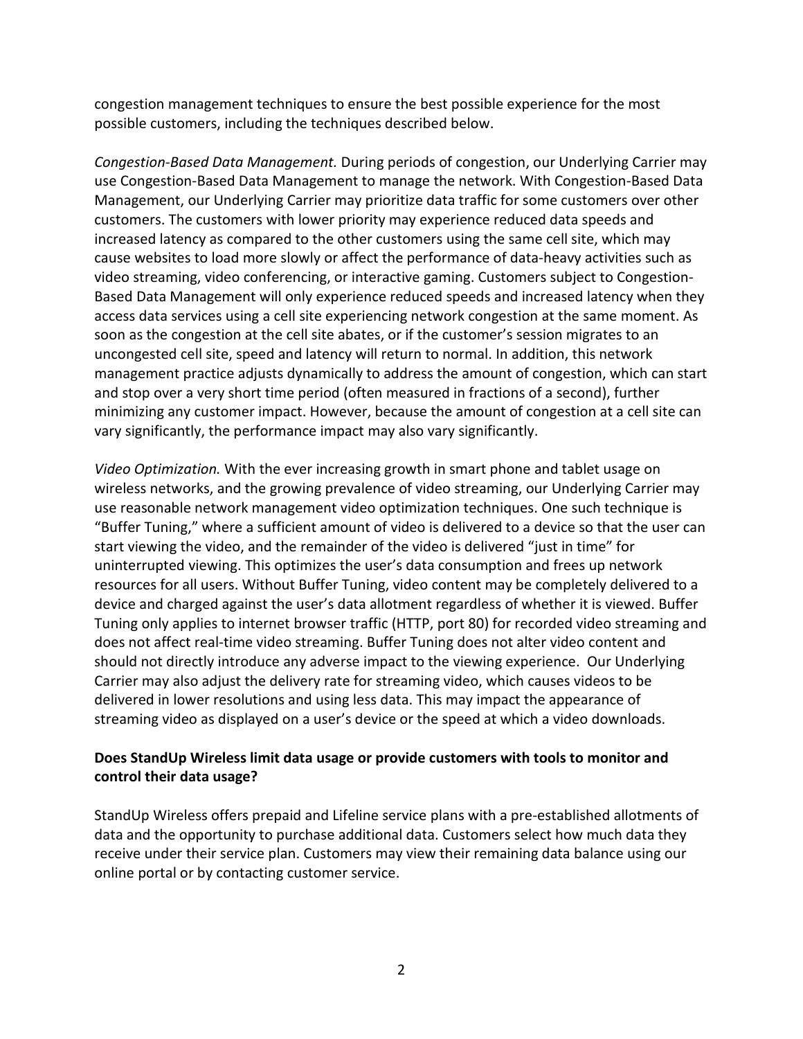congestion management techniques to ensure the best possible experience for the most possible customers, including the techniques described below.

*Congestion-Based Data Management.* During periods of congestion, our Underlying Carrier may use Congestion-Based Data Management to manage the network. With Congestion-Based Data Management, our Underlying Carrier may prioritize data traffic for some customers over other customers. The customers with lower priority may experience reduced data speeds and increased latency as compared to the other customers using the same cell site, which may cause websites to load more slowly or affect the performance of data-heavy activities such as video streaming, video conferencing, or interactive gaming. Customers subject to Congestion-Based Data Management will only experience reduced speeds and increased latency when they access data services using a cell site experiencing network congestion at the same moment. As soon as the congestion at the cell site abates, or if the customer's session migrates to an uncongested cell site, speed and latency will return to normal. In addition, this network management practice adjusts dynamically to address the amount of congestion, which can start and stop over a very short time period (often measured in fractions of a second), further minimizing any customer impact. However, because the amount of congestion at a cell site can vary significantly, the performance impact may also vary significantly.

*Video Optimization.* With the ever increasing growth in smart phone and tablet usage on wireless networks, and the growing prevalence of video streaming, our Underlying Carrier may use reasonable network management video optimization techniques. One such technique is "Buffer Tuning," where a sufficient amount of video is delivered to a device so that the user can start viewing the video, and the remainder of the video is delivered "just in time" for uninterrupted viewing. This optimizes the user's data consumption and frees up network resources for all users. Without Buffer Tuning, video content may be completely delivered to a device and charged against the user's data allotment regardless of whether it is viewed. Buffer Tuning only applies to internet browser traffic (HTTP, port 80) for recorded video streaming and does not affect real-time video streaming. Buffer Tuning does not alter video content and should not directly introduce any adverse impact to the viewing experience. Our Underlying Carrier may also adjust the delivery rate for streaming video, which causes videos to be delivered in lower resolutions and using less data. This may impact the appearance of streaming video as displayed on a user's device or the speed at which a video downloads.

## **Does StandUp Wireless limit data usage or provide customers with tools to monitor and control their data usage?**

StandUp Wireless offers prepaid and Lifeline service plans with a pre-established allotments of data and the opportunity to purchase additional data. Customers select how much data they receive under their service plan. Customers may view their remaining data balance using our online portal or by contacting customer service.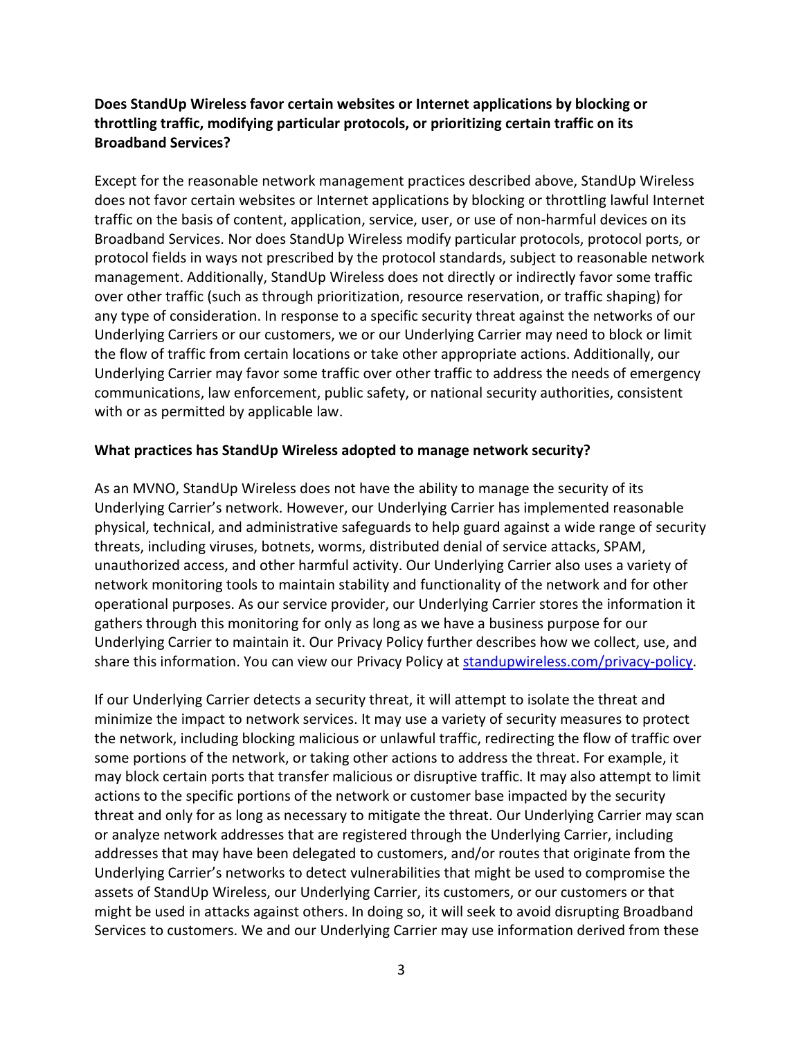# **Does StandUp Wireless favor certain websites or Internet applications by blocking or throttling traffic, modifying particular protocols, or prioritizing certain traffic on its Broadband Services?**

Except for the reasonable network management practices described above, StandUp Wireless does not favor certain websites or Internet applications by blocking or throttling lawful Internet traffic on the basis of content, application, service, user, or use of non-harmful devices on its Broadband Services. Nor does StandUp Wireless modify particular protocols, protocol ports, or protocol fields in ways not prescribed by the protocol standards, subject to reasonable network management. Additionally, StandUp Wireless does not directly or indirectly favor some traffic over other traffic (such as through prioritization, resource reservation, or traffic shaping) for any type of consideration. In response to a specific security threat against the networks of our Underlying Carriers or our customers, we or our Underlying Carrier may need to block or limit the flow of traffic from certain locations or take other appropriate actions. Additionally, our Underlying Carrier may favor some traffic over other traffic to address the needs of emergency communications, law enforcement, public safety, or national security authorities, consistent with or as permitted by applicable law.

#### **What practices has StandUp Wireless adopted to manage network security?**

As an MVNO, StandUp Wireless does not have the ability to manage the security of its Underlying Carrier's network. However, our Underlying Carrier has implemented reasonable physical, technical, and administrative safeguards to help guard against a wide range of security threats, including viruses, botnets, worms, distributed denial of service attacks, SPAM, unauthorized access, and other harmful activity. Our Underlying Carrier also uses a variety of network monitoring tools to maintain stability and functionality of the network and for other operational purposes. As our service provider, our Underlying Carrier stores the information it gathers through this monitoring for only as long as we have a business purpose for our Underlying Carrier to maintain it. Our Privacy Policy further describes how we collect, use, and share this information. You can view our Privacy Policy at [standupwireless.com/privacy-policy.](https://standupwireless.com/privacy-policy/)

If our Underlying Carrier detects a security threat, it will attempt to isolate the threat and minimize the impact to network services. It may use a variety of security measures to protect the network, including blocking malicious or unlawful traffic, redirecting the flow of traffic over some portions of the network, or taking other actions to address the threat. For example, it may block certain ports that transfer malicious or disruptive traffic. It may also attempt to limit actions to the specific portions of the network or customer base impacted by the security threat and only for as long as necessary to mitigate the threat. Our Underlying Carrier may scan or analyze network addresses that are registered through the Underlying Carrier, including addresses that may have been delegated to customers, and/or routes that originate from the Underlying Carrier's networks to detect vulnerabilities that might be used to compromise the assets of StandUp Wireless, our Underlying Carrier, its customers, or our customers or that might be used in attacks against others. In doing so, it will seek to avoid disrupting Broadband Services to customers. We and our Underlying Carrier may use information derived from these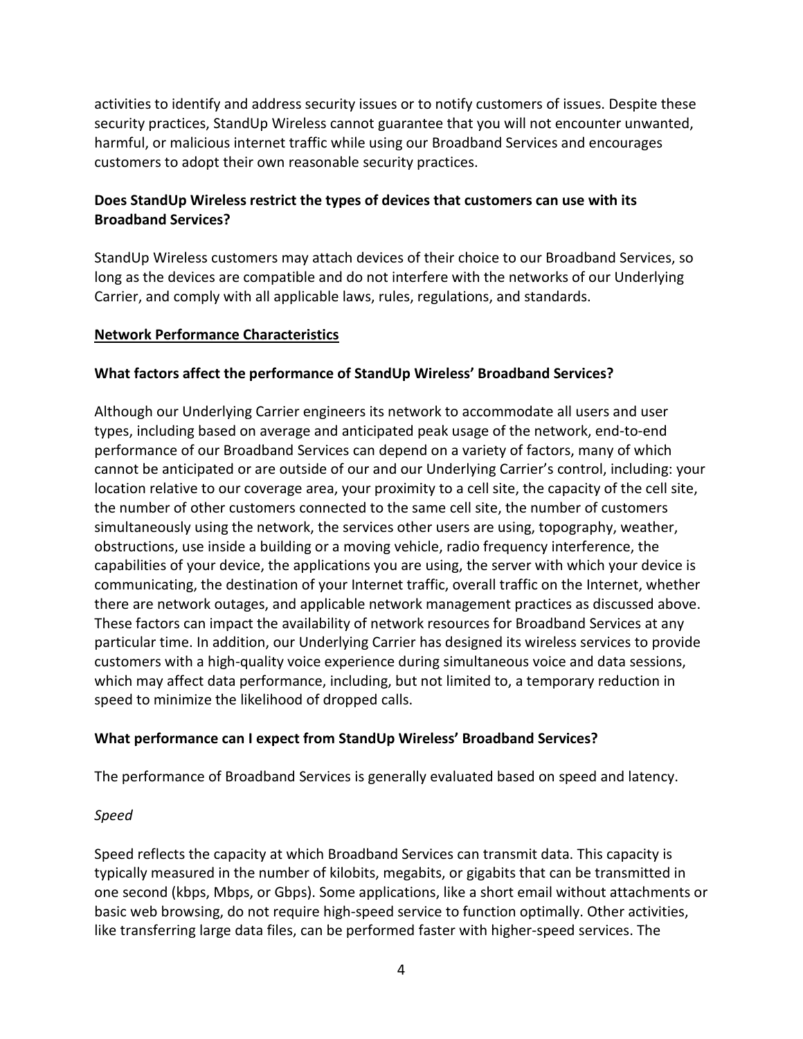activities to identify and address security issues or to notify customers of issues. Despite these security practices, StandUp Wireless cannot guarantee that you will not encounter unwanted, harmful, or malicious internet traffic while using our Broadband Services and encourages customers to adopt their own reasonable security practices.

## **Does StandUp Wireless restrict the types of devices that customers can use with its Broadband Services?**

StandUp Wireless customers may attach devices of their choice to our Broadband Services, so long as the devices are compatible and do not interfere with the networks of our Underlying Carrier, and comply with all applicable laws, rules, regulations, and standards.

### **Network Performance Characteristics**

### **What factors affect the performance of StandUp Wireless' Broadband Services?**

Although our Underlying Carrier engineers its network to accommodate all users and user types, including based on average and anticipated peak usage of the network, end-to-end performance of our Broadband Services can depend on a variety of factors, many of which cannot be anticipated or are outside of our and our Underlying Carrier's control, including: your location relative to our coverage area, your proximity to a cell site, the capacity of the cell site, the number of other customers connected to the same cell site, the number of customers simultaneously using the network, the services other users are using, topography, weather, obstructions, use inside a building or a moving vehicle, radio frequency interference, the capabilities of your device, the applications you are using, the server with which your device is communicating, the destination of your Internet traffic, overall traffic on the Internet, whether there are network outages, and applicable network management practices as discussed above. These factors can impact the availability of network resources for Broadband Services at any particular time. In addition, our Underlying Carrier has designed its wireless services to provide customers with a high-quality voice experience during simultaneous voice and data sessions, which may affect data performance, including, but not limited to, a temporary reduction in speed to minimize the likelihood of dropped calls.

## **What performance can I expect from StandUp Wireless' Broadband Services?**

The performance of Broadband Services is generally evaluated based on speed and latency.

## *Speed*

Speed reflects the capacity at which Broadband Services can transmit data. This capacity is typically measured in the number of kilobits, megabits, or gigabits that can be transmitted in one second (kbps, Mbps, or Gbps). Some applications, like a short email without attachments or basic web browsing, do not require high-speed service to function optimally. Other activities, like transferring large data files, can be performed faster with higher-speed services. The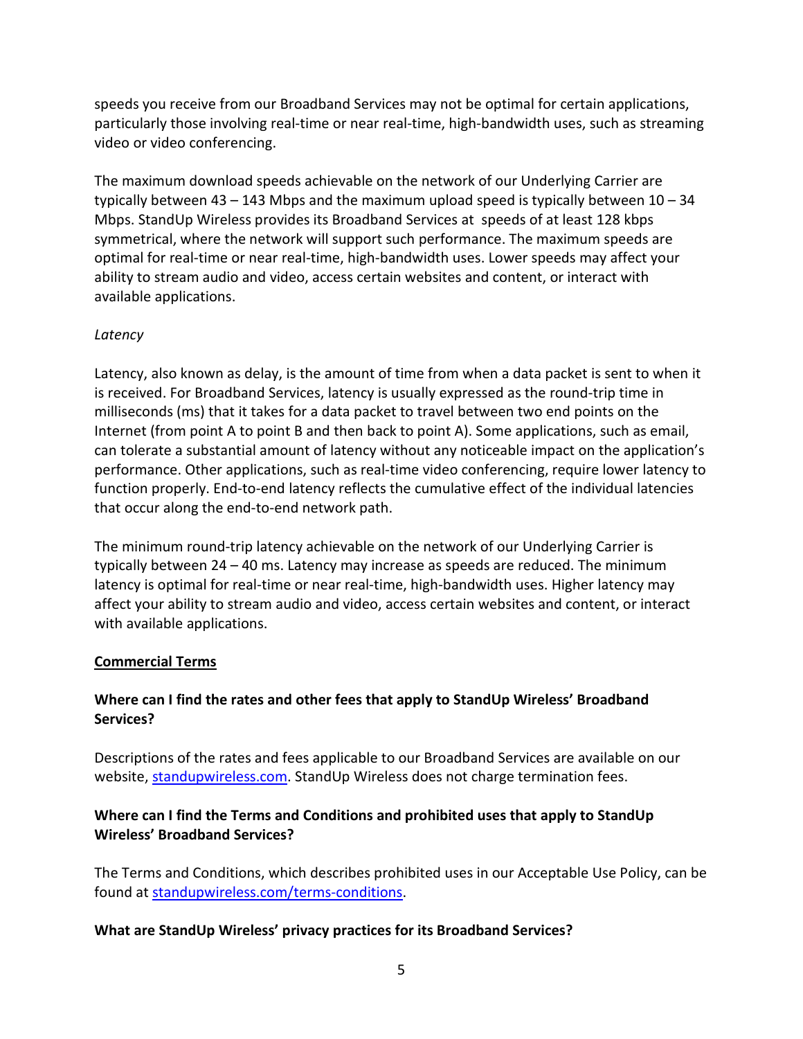speeds you receive from our Broadband Services may not be optimal for certain applications, particularly those involving real-time or near real-time, high-bandwidth uses, such as streaming video or video conferencing.

The maximum download speeds achievable on the network of our Underlying Carrier are typically between  $43 - 143$  Mbps and the maximum upload speed is typically between  $10 - 34$ Mbps. StandUp Wireless provides its Broadband Services at speeds of at least 128 kbps symmetrical, where the network will support such performance. The maximum speeds are optimal for real-time or near real-time, high-bandwidth uses. Lower speeds may affect your ability to stream audio and video, access certain websites and content, or interact with available applications.

### *Latency*

Latency, also known as delay, is the amount of time from when a data packet is sent to when it is received. For Broadband Services, latency is usually expressed as the round-trip time in milliseconds (ms) that it takes for a data packet to travel between two end points on the Internet (from point A to point B and then back to point A). Some applications, such as email, can tolerate a substantial amount of latency without any noticeable impact on the application's performance. Other applications, such as real-time video conferencing, require lower latency to function properly. End-to-end latency reflects the cumulative effect of the individual latencies that occur along the end-to-end network path.

The minimum round-trip latency achievable on the network of our Underlying Carrier is typically between 24 – 40 ms. Latency may increase as speeds are reduced. The minimum latency is optimal for real-time or near real-time, high-bandwidth uses. Higher latency may affect your ability to stream audio and video, access certain websites and content, or interact with available applications.

#### **Commercial Terms**

## **Where can I find the rates and other fees that apply to StandUp Wireless' Broadband Services?**

Descriptions of the rates and fees applicable to our Broadband Services are available on our website, [standupwireless.com.](https://standupwireless.com/) StandUp Wireless does not charge termination fees.

## **Where can I find the Terms and Conditions and prohibited uses that apply to StandUp Wireless' Broadband Services?**

The Terms and Conditions, which describes prohibited uses in our Acceptable Use Policy, can be found at [standupwireless.com/terms-conditions.](https://standupwireless.com/terms-conditions/)

## **What are StandUp Wireless' privacy practices for its Broadband Services?**